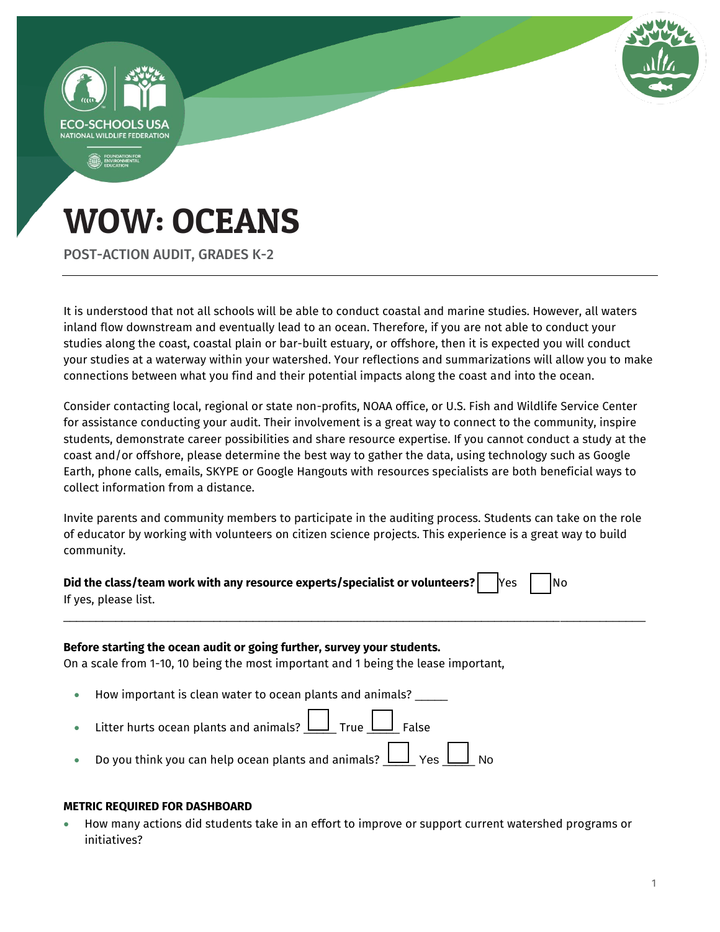

POST-ACTION AUDIT, GRADES K-2

It is understood that not all schools will be able to conduct coastal and marine studies. However, all waters inland flow downstream and eventually lead to an ocean. Therefore, if you are not able to conduct your studies along the coast, coastal plain or bar-built estuary, or offshore, then it is expected you will conduct your studies at a waterway within your watershed. Your reflections and summarizations will allow you to make connections between what you find and their potential impacts along the coast and into the ocean.

Consider contacting local, regional or state non-profits, NOAA office, or U.S. Fish and Wildlife Service Center for assistance conducting your audit. Their involvement is a great way to connect to the community, inspire students, demonstrate career possibilities and share resource expertise. If you cannot conduct a study at the coast and/or offshore, please determine the best way to gather the data, using technology such as Google Earth, phone calls, emails, SKYPE or Google Hangouts with resources specialists are both beneficial ways to collect information from a distance.

Invite parents and community members to participate in the auditing process. Students can take on the role of educator by working with volunteers on citizen science projects. This experience is a great way to build community.

\_\_\_\_\_\_\_\_\_\_\_\_\_\_\_\_\_\_\_\_\_\_\_\_\_\_\_\_\_\_\_\_\_\_\_\_\_\_\_\_\_\_\_\_\_\_\_\_\_\_\_\_\_\_\_\_\_\_\_\_\_\_\_\_\_\_\_\_\_\_\_\_\_\_\_\_\_\_\_\_\_\_\_\_\_\_\_\_\_

| Did the class/team work with any resource experts/specialist or volunteers? $\begin{array}{ c c }\hline \text{Yes} & \text{No}\end{array}$ |  |  |  |
|--------------------------------------------------------------------------------------------------------------------------------------------|--|--|--|
| If yes, please list.                                                                                                                       |  |  |  |

### **Before starting the ocean audit or going further, survey your students.**

On a scale from 1-10, 10 being the most important and 1 being the lease important,

- How important is clean water to ocean plants and animals? \_\_\_\_\_
- Eitter hurts ocean plants and animals?  $\boxed{\underline{\hspace{1cm}}\quad \quad \bot\quad }$  True  $\boxed{\phantom{\bullet}}\quad \quad \bot\quad$  False
- Do you think you can help ocean plants and animals?  $\Box$  Yes  $\bot$

### **METRIC REQUIRED FOR DASHBOARD**

 How many actions did students take in an effort to improve or support current watershed programs or initiatives?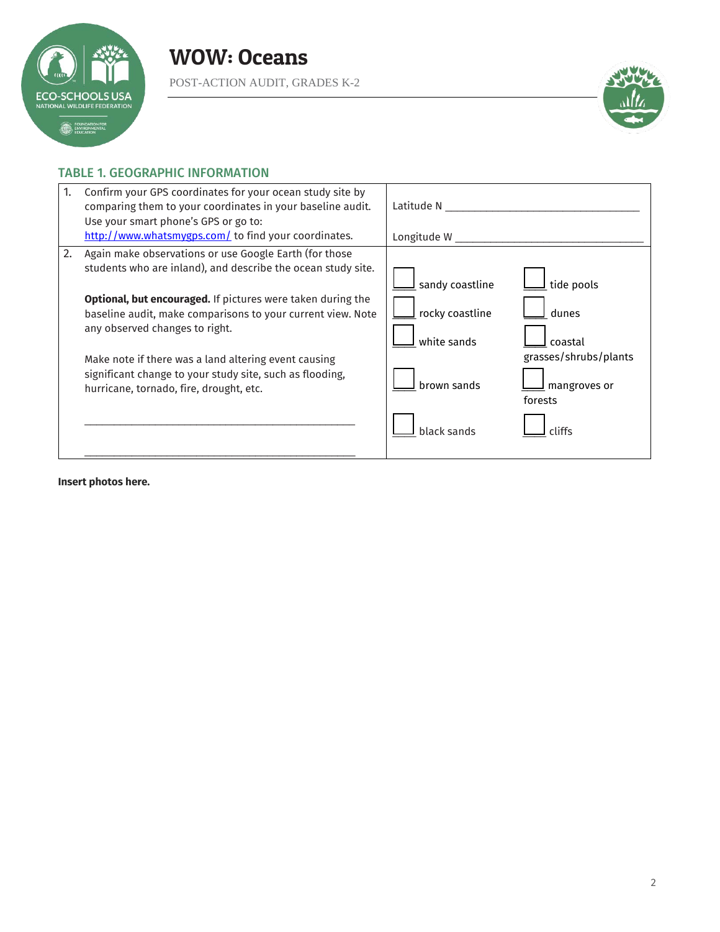

POST-ACTION AUDIT, GRADES K-2



## TABLE 1. GEOGRAPHIC INFORMATION

| Confirm your GPS coordinates for your ocean study site by<br>1.<br>comparing them to your coordinates in your baseline audit.<br>Use your smart phone's GPS or go to:<br>http://www.whatsmygps.com/ to find your coordinates.                                                                                                                                                                                                                                      | Latitude N<br>Longitude W                                                                                                                                             |
|--------------------------------------------------------------------------------------------------------------------------------------------------------------------------------------------------------------------------------------------------------------------------------------------------------------------------------------------------------------------------------------------------------------------------------------------------------------------|-----------------------------------------------------------------------------------------------------------------------------------------------------------------------|
| 2.<br>Again make observations or use Google Earth (for those<br>students who are inland), and describe the ocean study site.<br><b>Optional, but encouraged.</b> If pictures were taken during the<br>baseline audit, make comparisons to your current view. Note<br>any observed changes to right.<br>Make note if there was a land altering event causing<br>significant change to your study site, such as flooding,<br>hurricane, tornado, fire, drought, etc. | sandy coastline<br>tide pools<br>rocky coastline<br>dunes<br>white sands<br>coastal<br>grasses/shrubs/plants<br>brown sands<br>mangroves or<br>forests<br>black sands |

**Insert photos here.**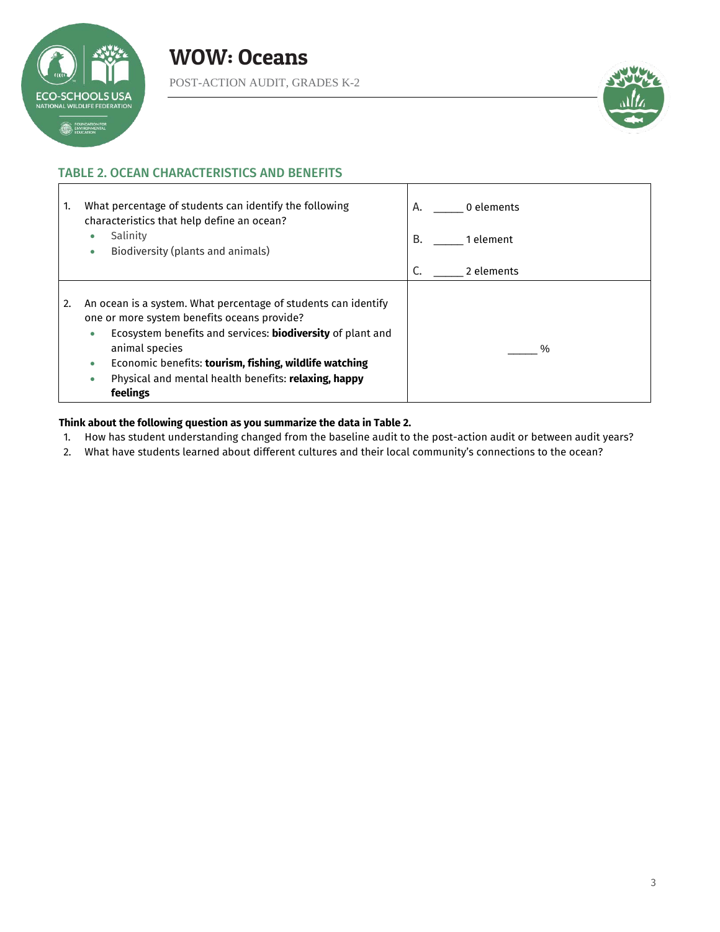

POST-ACTION AUDIT, GRADES K-2



# TABLE 2. OCEAN CHARACTERISTICS AND BENEFITS

| What percentage of students can identify the following<br>1.<br>characteristics that help define an ocean?                                                                                                                                                                                                                                              | 0 elements<br>A. |
|---------------------------------------------------------------------------------------------------------------------------------------------------------------------------------------------------------------------------------------------------------------------------------------------------------------------------------------------------------|------------------|
| Salinity<br>Biodiversity (plants and animals)<br>۰                                                                                                                                                                                                                                                                                                      | В.<br>1 element  |
|                                                                                                                                                                                                                                                                                                                                                         | 2 elements       |
| An ocean is a system. What percentage of students can identify<br>2.<br>one or more system benefits oceans provide?<br>Ecosystem benefits and services: <b>biodiversity</b> of plant and<br>۰<br>animal species<br>Economic benefits: tourism, fishing, wildlife watching<br>۰<br>Physical and mental health benefits: relaxing, happy<br>۰<br>feelings | $\frac{0}{0}$    |

### **Think about the following question as you summarize the data in Table 2.**

- 1. How has student understanding changed from the baseline audit to the post-action audit or between audit years?
- 2. What have students learned about different cultures and their local community's connections to the ocean?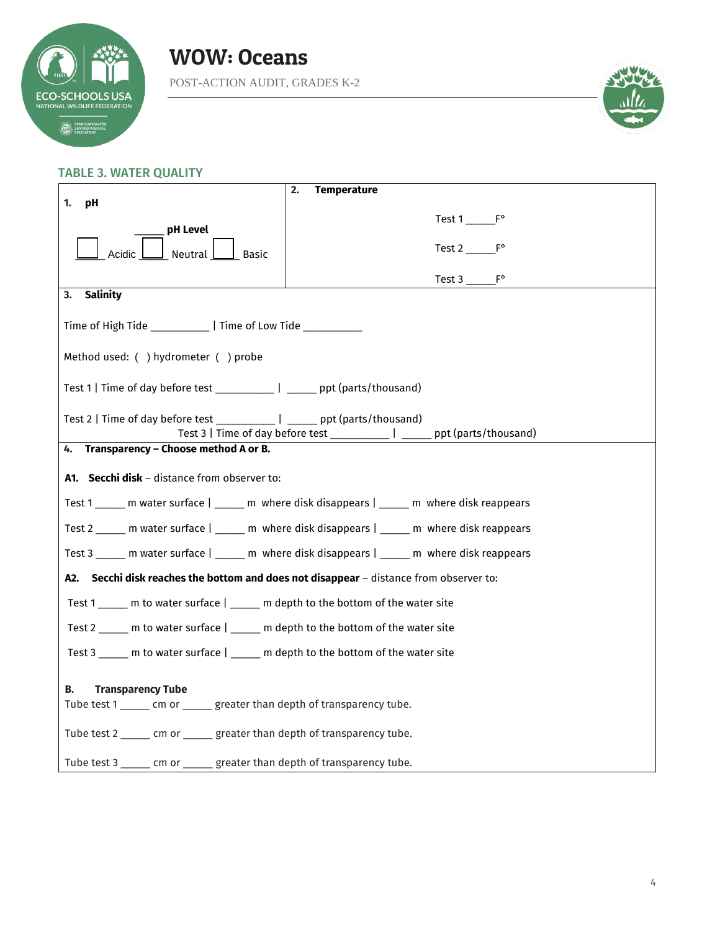

# WOW: Oceans POST-ACTION AUDIT, GRADES K-2

## TABLE 3. WATER QUALITY

|                                                                                              | 2.<br><b>Temperature</b>                                                                      |  |  |  |
|----------------------------------------------------------------------------------------------|-----------------------------------------------------------------------------------------------|--|--|--|
| 1.<br>рH                                                                                     |                                                                                               |  |  |  |
|                                                                                              |                                                                                               |  |  |  |
| pH Level                                                                                     |                                                                                               |  |  |  |
| Acidic<br>Neutral<br>Basic                                                                   | Test 2 F°                                                                                     |  |  |  |
|                                                                                              |                                                                                               |  |  |  |
|                                                                                              | Test $3 \qquad F^{\circ}$                                                                     |  |  |  |
| <b>Salinity</b><br>3.                                                                        |                                                                                               |  |  |  |
|                                                                                              |                                                                                               |  |  |  |
| Time of High Tide ___________   Time of Low Tide __________                                  |                                                                                               |  |  |  |
|                                                                                              |                                                                                               |  |  |  |
| Method used: () hydrometer () probe                                                          |                                                                                               |  |  |  |
|                                                                                              |                                                                                               |  |  |  |
| Test 1   Time of day before test ____________   ______ ppt (parts/thousand)                  |                                                                                               |  |  |  |
|                                                                                              |                                                                                               |  |  |  |
| Test 2   Time of day before test _______________   _______ ppt (parts/thousand)              |                                                                                               |  |  |  |
|                                                                                              | Test 3   Time of day before test _____________   ______ ppt (parts/thousand)                  |  |  |  |
| 4. Transparency - Choose method A or B.                                                      |                                                                                               |  |  |  |
|                                                                                              |                                                                                               |  |  |  |
| A1. Secchi disk - distance from observer to:                                                 |                                                                                               |  |  |  |
|                                                                                              |                                                                                               |  |  |  |
| Test 1 _____ m water surface   _____ m where disk disappears   _____ m where disk reappears  |                                                                                               |  |  |  |
| Test 2 ______ m water surface   _____ m where disk disappears   _____ m where disk reappears |                                                                                               |  |  |  |
|                                                                                              |                                                                                               |  |  |  |
|                                                                                              | Test 3 ______ m water surface   ______ m where disk disappears   _____ m where disk reappears |  |  |  |
| A2. Secchi disk reaches the bottom and does not disappear - distance from observer to:       |                                                                                               |  |  |  |
| Test 1 _____ m to water surface   _____ m depth to the bottom of the water site              |                                                                                               |  |  |  |
| Test 2 ______ m to water surface   _____ m depth to the bottom of the water site             |                                                                                               |  |  |  |
| Test 3 ______ m to water surface   _____ m depth to the bottom of the water site             |                                                                                               |  |  |  |
|                                                                                              |                                                                                               |  |  |  |
| <b>Transparency Tube</b><br>В.                                                               |                                                                                               |  |  |  |
| Tube test 1 ______ cm or ______ greater than depth of transparency tube.                     |                                                                                               |  |  |  |
|                                                                                              |                                                                                               |  |  |  |
| Tube test 2 ______ cm or ______ greater than depth of transparency tube.                     |                                                                                               |  |  |  |
|                                                                                              |                                                                                               |  |  |  |
| Tube test 3 ______ cm or ______ greater than depth of transparency tube.                     |                                                                                               |  |  |  |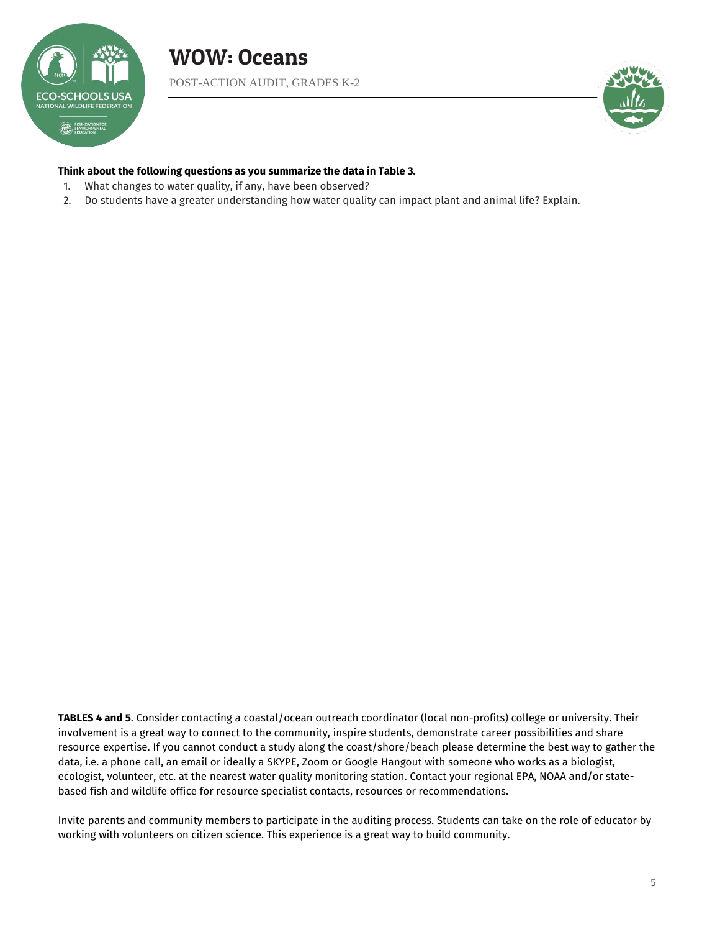



### **Think about the following questions as you summarize the data in Table 3.**

- 1. What changes to water quality, if any, have been observed?
- 2. Do students have a greater understanding how water quality can impact plant and animal life? Explain.

**TABLES 4 and 5**. Consider contacting a coastal/ocean outreach coordinator (local non-profits) college or university. Their involvement is a great way to connect to the community, inspire students, demonstrate career possibilities and share resource expertise. If you cannot conduct a study along the coast/shore/beach please determine the best way to gather the data, i.e. a phone call, an email or ideally a SKYPE, Zoom or Google Hangout with someone who works as a biologist, ecologist, volunteer, etc. at the nearest water quality monitoring station. Contact your regional EPA, NOAA and/or statebased fish and wildlife office for resource specialist contacts, resources or recommendations.

Invite parents and community members to participate in the auditing process. Students can take on the role of educator by working with volunteers on citizen science. This experience is a great way to build community.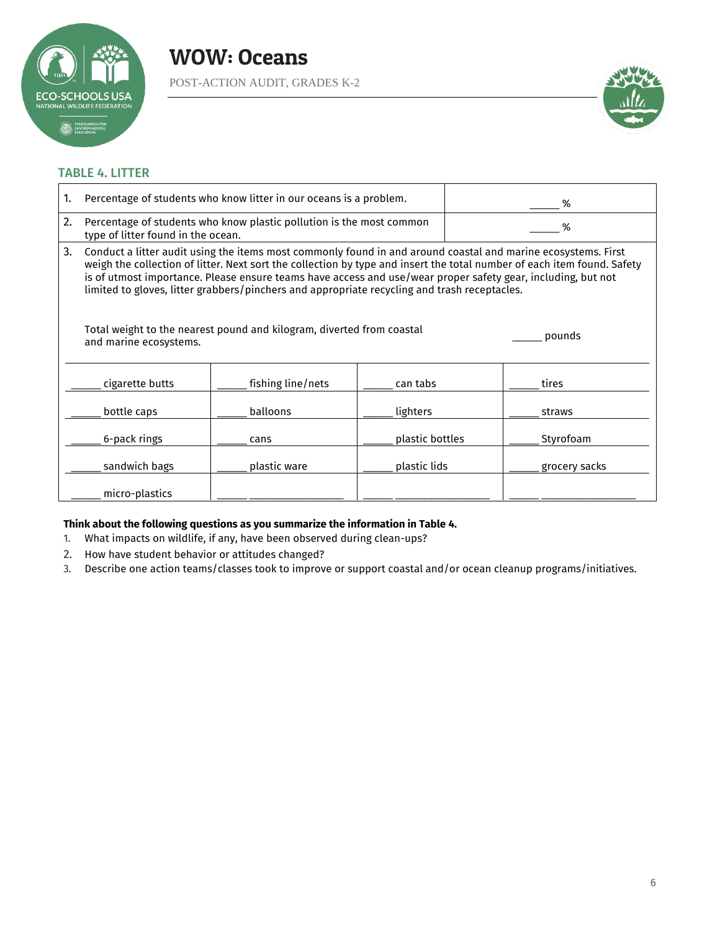![](_page_5_Picture_0.jpeg)

POST-ACTION AUDIT, GRADES K-2

![](_page_5_Picture_3.jpeg)

## TABLE 4. LITTER

| 1.                                                                                              | Percentage of students who know litter in our oceans is a problem.                                                                                                                                                                                                                                                                                                                                                                                       |                   |                 | ℅      |               |
|-------------------------------------------------------------------------------------------------|----------------------------------------------------------------------------------------------------------------------------------------------------------------------------------------------------------------------------------------------------------------------------------------------------------------------------------------------------------------------------------------------------------------------------------------------------------|-------------------|-----------------|--------|---------------|
| 2.                                                                                              | Percentage of students who know plastic pollution is the most common<br>type of litter found in the ocean.                                                                                                                                                                                                                                                                                                                                               |                   | %               |        |               |
| 3.                                                                                              | Conduct a litter audit using the items most commonly found in and around coastal and marine ecosystems. First<br>weigh the collection of litter. Next sort the collection by type and insert the total number of each item found. Safety<br>is of utmost importance. Please ensure teams have access and use/wear proper safety gear, including, but not<br>limited to gloves, litter grabbers/pinchers and appropriate recycling and trash receptacles. |                   |                 |        |               |
| Total weight to the nearest pound and kilogram, diverted from coastal<br>and marine ecosystems. |                                                                                                                                                                                                                                                                                                                                                                                                                                                          |                   |                 | pounds |               |
|                                                                                                 | cigarette butts                                                                                                                                                                                                                                                                                                                                                                                                                                          | fishing line/nets | can tabs        |        | tires         |
|                                                                                                 | bottle caps                                                                                                                                                                                                                                                                                                                                                                                                                                              | balloons          | lighters        |        | straws        |
|                                                                                                 | 6-pack rings                                                                                                                                                                                                                                                                                                                                                                                                                                             | cans              | plastic bottles |        | Styrofoam     |
|                                                                                                 | sandwich bags                                                                                                                                                                                                                                                                                                                                                                                                                                            | plastic ware      | plastic lids    |        | grocery sacks |
|                                                                                                 | micro-plastics                                                                                                                                                                                                                                                                                                                                                                                                                                           |                   |                 |        |               |

## **Think about the following questions as you summarize the information in Table 4.**

- 1. What impacts on wildlife, if any, have been observed during clean-ups?
- 2. How have student behavior or attitudes changed?
- 3. Describe one action teams/classes took to improve or support coastal and/or ocean cleanup programs/initiatives.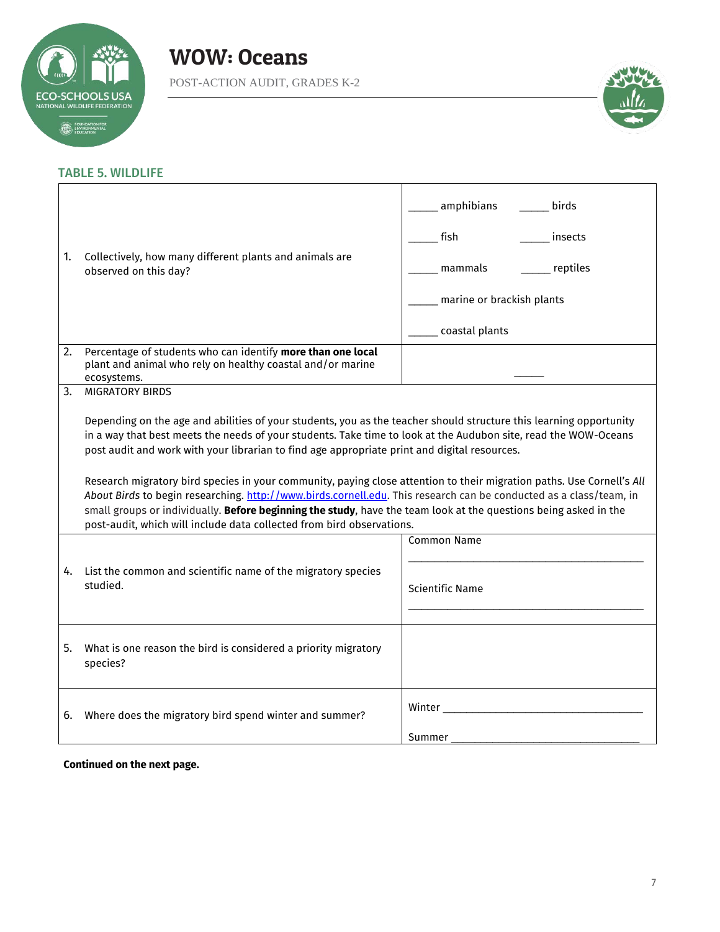![](_page_6_Picture_0.jpeg)

POST-ACTION AUDIT, GRADES K-2

![](_page_6_Picture_3.jpeg)

## TABLE 5. WILDLIFE

| 1. | Collectively, how many different plants and animals are<br>observed on this day?                                                                                                                                                                                                                                                                                                                                                                                                                                                                                                                                                                                                                                                                                                                                  | amphibians_<br>birds<br>fish<br>insects<br>mammals<br>__ reptiles<br>marine or brackish plants<br>___ coastal plants     |  |  |
|----|-------------------------------------------------------------------------------------------------------------------------------------------------------------------------------------------------------------------------------------------------------------------------------------------------------------------------------------------------------------------------------------------------------------------------------------------------------------------------------------------------------------------------------------------------------------------------------------------------------------------------------------------------------------------------------------------------------------------------------------------------------------------------------------------------------------------|--------------------------------------------------------------------------------------------------------------------------|--|--|
| 2. | Percentage of students who can identify more than one local<br>plant and animal who rely on healthy coastal and/or marine<br>ecosystems.                                                                                                                                                                                                                                                                                                                                                                                                                                                                                                                                                                                                                                                                          |                                                                                                                          |  |  |
|    | <b>MIGRATORY BIRDS</b><br>3.<br>Depending on the age and abilities of your students, you as the teacher should structure this learning opportunity<br>in a way that best meets the needs of your students. Take time to look at the Audubon site, read the WOW-Oceans<br>post audit and work with your librarian to find age appropriate print and digital resources.<br>Research migratory bird species in your community, paying close attention to their migration paths. Use Cornell's All<br>About Birds to begin researching. http://www.birds.cornell.edu. This research can be conducted as a class/team, in<br>small groups or individually. Before beginning the study, have the team look at the questions being asked in the<br>post-audit, which will include data collected from bird observations. |                                                                                                                          |  |  |
| 4. | List the common and scientific name of the migratory species<br>studied.                                                                                                                                                                                                                                                                                                                                                                                                                                                                                                                                                                                                                                                                                                                                          | <b>Common Name</b><br><b>Scientific Name</b>                                                                             |  |  |
| 5. | What is one reason the bird is considered a priority migratory<br>species?                                                                                                                                                                                                                                                                                                                                                                                                                                                                                                                                                                                                                                                                                                                                        |                                                                                                                          |  |  |
| 6. | Where does the migratory bird spend winter and summer?                                                                                                                                                                                                                                                                                                                                                                                                                                                                                                                                                                                                                                                                                                                                                            | Winter Ninter State Communication of the United States of the United States of the United States of the United<br>Summer |  |  |

**Continued on the next page.**